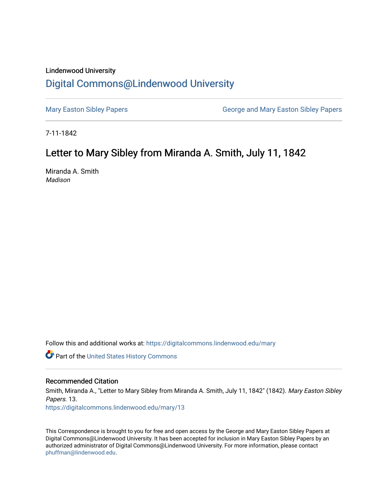## Lindenwood University

## [Digital Commons@Lindenwood University](https://digitalcommons.lindenwood.edu/)

[Mary Easton Sibley Papers](https://digitalcommons.lindenwood.edu/mary) **George and Mary Easton Sibley Papers** George and Mary Easton Sibley Papers

7-11-1842

## Letter to Mary Sibley from Miranda A. Smith, July 11, 1842

Miranda A. Smith Madison

Follow this and additional works at: [https://digitalcommons.lindenwood.edu/mary](https://digitalcommons.lindenwood.edu/mary?utm_source=digitalcommons.lindenwood.edu%2Fmary%2F13&utm_medium=PDF&utm_campaign=PDFCoverPages) 

Part of the [United States History Commons](http://network.bepress.com/hgg/discipline/495?utm_source=digitalcommons.lindenwood.edu%2Fmary%2F13&utm_medium=PDF&utm_campaign=PDFCoverPages) 

## Recommended Citation

Smith, Miranda A., "Letter to Mary Sibley from Miranda A. Smith, July 11, 1842" (1842). Mary Easton Sibley Papers. 13. [https://digitalcommons.lindenwood.edu/mary/13](https://digitalcommons.lindenwood.edu/mary/13?utm_source=digitalcommons.lindenwood.edu%2Fmary%2F13&utm_medium=PDF&utm_campaign=PDFCoverPages)

This Correspondence is brought to you for free and open access by the George and Mary Easton Sibley Papers at Digital Commons@Lindenwood University. It has been accepted for inclusion in Mary Easton Sibley Papers by an authorized administrator of Digital Commons@Lindenwood University. For more information, please contact [phuffman@lindenwood.edu](mailto:phuffman@lindenwood.edu).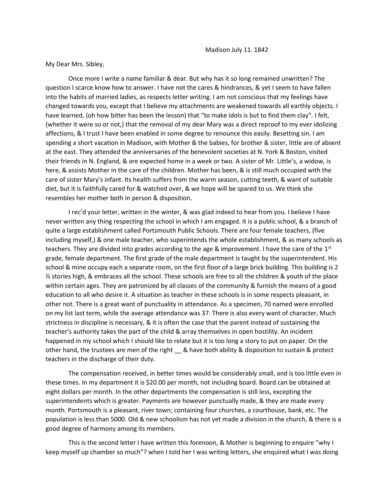My Dear Mrs. Sibley,

Once more I write a name familiar & dear. But why has it so long remained unwritten? The question I scarce know how to answer. I have not the cares & hindrances, & yet I seem to have fallen into the habits of married ladies, as respects letter writing. I am not conscious that my feelings have changed towards you, except that I believe my attachments are weakened towards all earthly objects. I have learned, (oh how bitter has been the lesson) that "to make idols is but to find them clay". I felt, (whether it were so or not,) that the removal of my dear Mary was a direct reproof to my ever idolizing affections, & I trust I have been enabled in some degree to renounce this easily. Besetting sin. I am spending a short vacation in Madison, with Mother & the babies, for brother & sister, little are of absent at the east. They attended the anniversaries of the benevolent societies at N. York & Boston, visited their friends in N. England, & are expected home in a week or two. A sister of Mr. Little's, a widow, is here, & assists Mother in the care of the children. Mother has been, & is still much occupied with the care of sister Mary's infant. Its health suffers from the warm season, cutting teeth, & want of suitable diet, but it is faithfully cared for & watched over, & we hope will be spared to us. We think she resembles her mother both in person & disposition.

I rec'd your letter, written in the winter, & was glad indeed to hear from you. I believe I have never written any thing respecting the school in which I am engaged. It is a public school, & a branch of quite a large establishment called Portsmouth Public Schools. There are four female teachers, (five including myself,) & one male teacher, who superintends the whole establishment, & as many schools as teachers. They are divided into grades according to the age & improvement. I have the care of the  $1<sup>st</sup>$ grade, female department. The first grade of the male department is taught by the superintendent. His school & mine occupy each a separate room, on the first floor of a large brick building. This building is 2  $\frac{1}{2}$  stories high, & embraces all the school. These schools are free to all the children & youth of the place within certain ages. They are patronized by all classes of the community & furnish the means of a good education to all who desire it. A situation as teacher in these schools is in some respects pleasant, in other not. There is a great want of punctuality in attendance. As a specimen, 70 named were enrolled on my list last term, while the average attendance was 37. There is also every want of character, Much strictness in discipline is necessary, & it is often the case that the parent instead of sustaining the teacher's authority takes the part of the child & array themselves in open hostility. An incident happened in my school which I should like to relate but it is too long a story to put on paper. On the other hand, the trustees are men of the right \_ & have both ability & disposition to sustain & protect teachers in the discharge of their duty.

The compensation received, in better times would be considerably small, and is too little even in these times. In my department it is \$20.00 per month, not including board. Board can be obtained at eight dollars per month. In the other departments the compensation is still less, excepting the superintendents which is greater. Payments are however punctually made, & they are made every month. Portsmouth is a pleasant, river town; containing four churches, a courthouse, bank, etc. The population is less than 5000. Old & new schoolism has not yet made a division in the church, & there is a good degree of harmony among its members.

This is the second letter I have written this forenoon, & Mother is beginning to enquire "why I keep myself up chamber so much"? when I told her I was writing letters, she enquired what I was doing